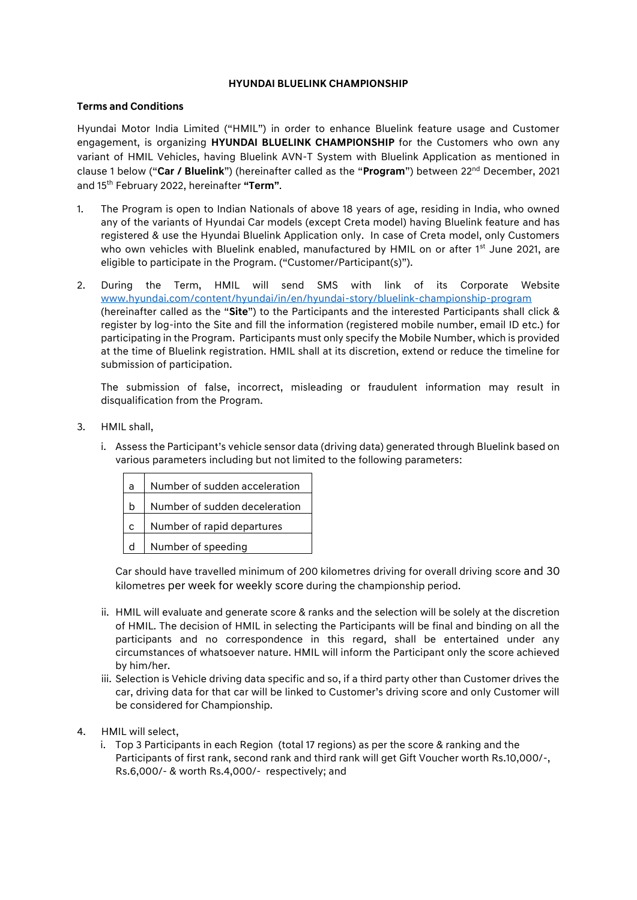## **HYUNDAI BLUELINK CHAMPIONSHIP**

## **Terms and Conditions**

Hyundai Motor India Limited ("HMIL") in order to enhance Bluelink feature usage and Customer engagement, is organizing **HYUNDAI BLUELINK CHAMPIONSHIP** for the Customers who own any variant of HMIL Vehicles, having Bluelink AVN-T System with Bluelink Application as mentioned in clause 1 below ("**Car / Bluelink**") (hereinafter called as the "**Program**") between 22nd December, 2021 and 15th February 2022, hereinafter **"Term"**.

- 1. The Program is open to Indian Nationals of above 18 years of age, residing in India, who owned any of the variants of Hyundai Car models (except Creta model) having Bluelink feature and has registered & use the Hyundai Bluelink Application only. In case of Creta model, only Customers who own vehicles with Bluelink enabled, manufactured by HMIL on or after 1<sup>st</sup> June 2021, are eligible to participate in the Program. ("Customer/Participant(s)").
- 2. During the Term, HMIL will send SMS with link of its Corporate Website [www.hyundai.com/content/hyundai/in/en/hyundai-story/bluelink-championship-program](http://www.hyundai.com/content/hyundai/in/en/hyundai-story/bluelink-championship-program) (hereinafter called as the "**Site**") to the Participants and the interested Participants shall click & register by log-into the Site and fill the information (registered mobile number, email ID etc.) for participating in the Program. Participants must only specify the Mobile Number, which is provided at the time of Bluelink registration. HMIL shall at its discretion, extend or reduce the timeline for submission of participation.

The submission of false, incorrect, misleading or fraudulent information may result in disqualification from the Program.

- 3. HMIL shall,
	- i. Assess the Participant's vehicle sensor data (driving data) generated through Bluelink based on various parameters including but not limited to the following parameters:

| a            | Number of sudden acceleration |
|--------------|-------------------------------|
| h            | Number of sudden deceleration |
| $\mathsf{C}$ | Number of rapid departures    |
| d            | Number of speeding            |

Car should have travelled minimum of 200 kilometres driving for overall driving score and 30 kilometres per week for weekly score during the championship period.

- ii. HMIL will evaluate and generate score & ranks and the selection will be solely at the discretion of HMIL. The decision of HMIL in selecting the Participants will be final and binding on all the participants and no correspondence in this regard, shall be entertained under any circumstances of whatsoever nature. HMIL will inform the Participant only the score achieved by him/her.
- iii. Selection is Vehicle driving data specific and so, if a third party other than Customer drives the car, driving data for that car will be linked to Customer's driving score and only Customer will be considered for Championship.
- 4. HMIL will select,
	- i. Top 3 Participants in each Region (total 17 regions) as per the score & ranking and the Participants of first rank, second rank and third rank will get Gift Voucher worth Rs.10,000/-, Rs.6,000/- & worth Rs.4,000/- respectively; and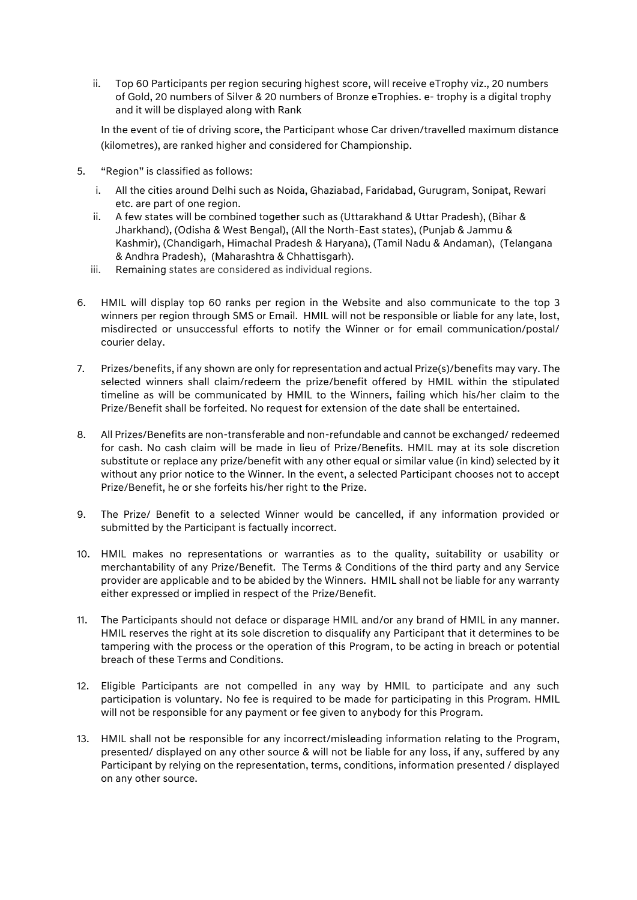ii. Top 60 Participants per region securing highest score, will receive eTrophy viz., 20 numbers of Gold, 20 numbers of Silver & 20 numbers of Bronze eTrophies. e- trophy is a digital trophy and it will be displayed along with Rank

In the event of tie of driving score, the Participant whose Car driven/travelled maximum distance (kilometres), are ranked higher and considered for Championship.

- 5. "Region" is classified as follows:
	- i. All the cities around Delhi such as Noida, Ghaziabad, Faridabad, Gurugram, Sonipat, Rewari etc. are part of one region.
	- ii. A few states will be combined together such as (Uttarakhand & Uttar Pradesh), (Bihar & Jharkhand), (Odisha & West Bengal), (All the North-East states), (Punjab & Jammu & Kashmir), (Chandigarh, Himachal Pradesh & Haryana), (Tamil Nadu & Andaman), (Telangana & Andhra Pradesh), (Maharashtra & Chhattisgarh).
	- iii. Remaining states are considered as individual regions.
- 6. HMIL will display top 60 ranks per region in the Website and also communicate to the top 3 winners per region through SMS or Email. HMIL will not be responsible or liable for any late, lost, misdirected or unsuccessful efforts to notify the Winner or for email communication/postal/ courier delay.
- 7. Prizes/benefits, if any shown are only for representation and actual Prize(s)/benefits may vary. The selected winners shall claim/redeem the prize/benefit offered by HMIL within the stipulated timeline as will be communicated by HMIL to the Winners, failing which his/her claim to the Prize/Benefit shall be forfeited. No request for extension of the date shall be entertained.
- 8. All Prizes/Benefits are non-transferable and non-refundable and cannot be exchanged/ redeemed for cash. No cash claim will be made in lieu of Prize/Benefits. HMIL may at its sole discretion substitute or replace any prize/benefit with any other equal or similar value (in kind) selected by it without any prior notice to the Winner. In the event, a selected Participant chooses not to accept Prize/Benefit, he or she forfeits his/her right to the Prize.
- 9. The Prize/ Benefit to a selected Winner would be cancelled, if any information provided or submitted by the Participant is factually incorrect.
- 10. HMIL makes no representations or warranties as to the quality, suitability or usability or merchantability of any Prize/Benefit. The Terms & Conditions of the third party and any Service provider are applicable and to be abided by the Winners. HMIL shall not be liable for any warranty either expressed or implied in respect of the Prize/Benefit.
- 11. The Participants should not deface or disparage HMIL and/or any brand of HMIL in any manner. HMIL reserves the right at its sole discretion to disqualify any Participant that it determines to be tampering with the process or the operation of this Program, to be acting in breach or potential breach of these Terms and Conditions.
- 12. Eligible Participants are not compelled in any way by HMIL to participate and any such participation is voluntary. No fee is required to be made for participating in this Program. HMIL will not be responsible for any payment or fee given to anybody for this Program.
- 13. HMIL shall not be responsible for any incorrect/misleading information relating to the Program, presented/ displayed on any other source & will not be liable for any loss, if any, suffered by any Participant by relying on the representation, terms, conditions, information presented / displayed on any other source.